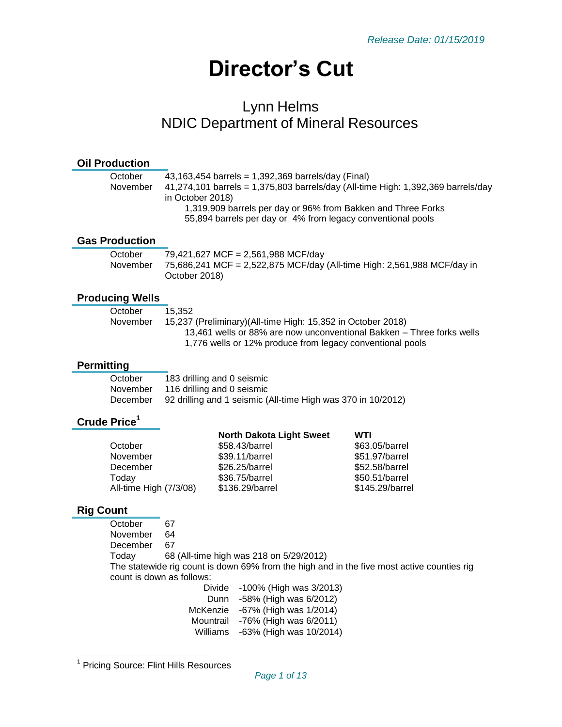# **Director's Cut**

# Lynn Helms NDIC Department of Mineral Resources

#### **Oil Production**

| VII I IVUUVLIVII       |                                                                                                                                                                                                    |
|------------------------|----------------------------------------------------------------------------------------------------------------------------------------------------------------------------------------------------|
| October                | 43,163,454 barrels = $1,392,369$ barrels/day (Final)                                                                                                                                               |
| November               | 41,274,101 barrels = 1,375,803 barrels/day (All-time High: 1,392,369 barrels/day<br>in October 2018)                                                                                               |
|                        | 1,319,909 barrels per day or 96% from Bakken and Three Forks<br>55,894 barrels per day or 4% from legacy conventional pools                                                                        |
| <b>Gas Production</b>  |                                                                                                                                                                                                    |
| October                | 79,421,627 MCF = 2,561,988 MCF/day                                                                                                                                                                 |
| November               | 75,686,241 MCF = 2,522,875 MCF/day (All-time High: 2,561,988 MCF/day in<br>October 2018)                                                                                                           |
| <b>Producing Wells</b> |                                                                                                                                                                                                    |
| October                | 15,352                                                                                                                                                                                             |
| November               | 15,237 (Preliminary) (All-time High: 15,352 in October 2018)<br>13,461 wells or 88% are now unconventional Bakken - Three forks wells<br>1,776 wells or 12% produce from legacy conventional pools |
|                        |                                                                                                                                                                                                    |

#### **Permitting**

| October  | 183 drilling and 0 seismic                                   |
|----------|--------------------------------------------------------------|
| November | 116 drilling and 0 seismic                                   |
| December | 92 drilling and 1 seismic (All-time High was 370 in 10/2012) |

# **Crude Price<sup>1</sup>**

|                        | <b>North Dakota Light Sweet</b> | WTI             |
|------------------------|---------------------------------|-----------------|
| October                | \$58.43/barrel                  | \$63.05/barrel  |
| November               | \$39.11/barrel                  | \$51.97/barrel  |
| December               | \$26.25/barrel                  | \$52.58/barrel  |
| Todav                  | \$36.75/barrel                  | \$50.51/barrel  |
| All-time High (7/3/08) | \$136.29/barrel                 | \$145.29/barrel |

#### **Rig Count**

October 67 November 64 December 67 Today 68 (All-time high was 218 on 5/29/2012) The statewide rig count is down 69% from the high and in the five most active counties rig count is down as follows: Divide -100% (High was 3/2013)

| Dunn      | -58% (High was 6/2012)  |
|-----------|-------------------------|
| McKenzie  | -67% (High was 1/2014)  |
| Mountrail | -76% (High was 6/2011)  |
| Williams  | -63% (High was 10/2014) |

 1 Pricing Source: Flint Hills Resources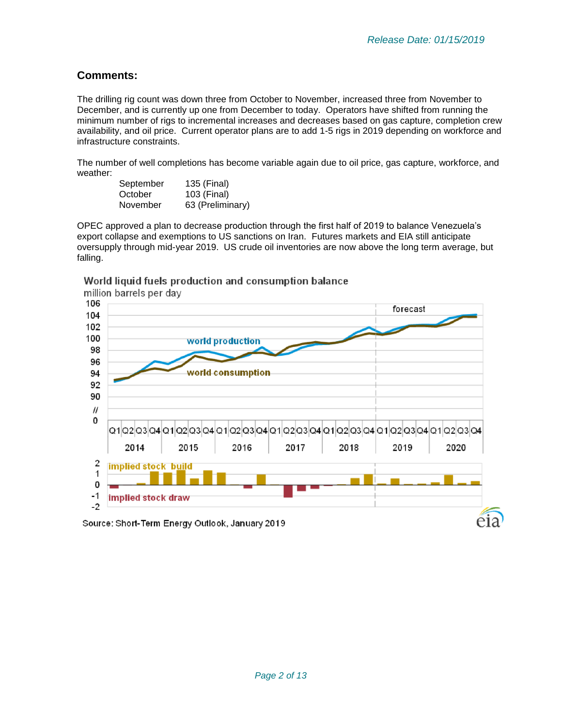## **Comments:**

The drilling rig count was down three from October to November, increased three from November to December, and is currently up one from December to today. Operators have shifted from running the minimum number of rigs to incremental increases and decreases based on gas capture, completion crew availability, and oil price. Current operator plans are to add 1-5 rigs in 2019 depending on workforce and infrastructure constraints.

The number of well completions has become variable again due to oil price, gas capture, workforce, and weather:

| September | 135 (Final)      |
|-----------|------------------|
| October   | 103 (Final)      |
| November  | 63 (Preliminary) |

OPEC approved a plan to decrease production through the first half of 2019 to balance Venezuela's export collapse and exemptions to US sanctions on Iran. Futures markets and EIA still anticipate oversupply through mid-year 2019. US crude oil inventories are now above the long term average, but falling.

#### World liquid fuels production and consumption balance



million barrels per day 106

Source: Short-Term Energy Outlook, January 2019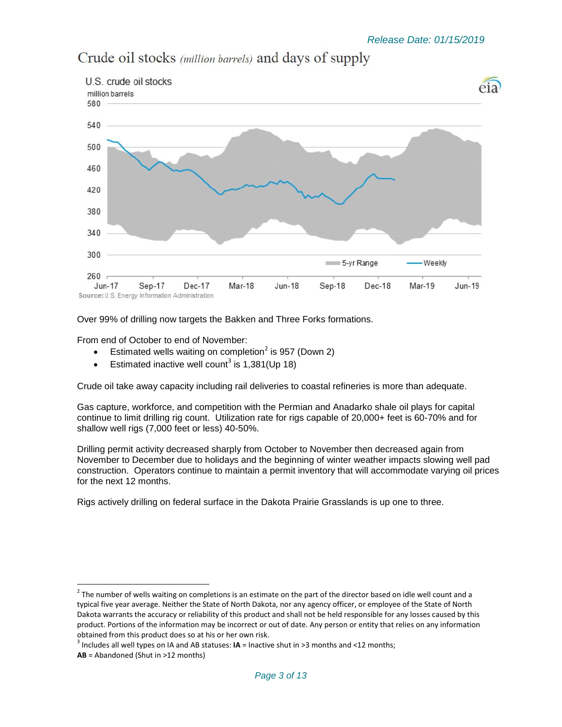

# Crude oil stocks (million barrels) and days of supply

Over 99% of drilling now targets the Bakken and Three Forks formations.

From end of October to end of November:

l

- Estimated wells waiting on completion<sup>2</sup> is 957 (Down 2)
- Estimated inactive well count<sup>3</sup> is 1,381(Up 18)

Crude oil take away capacity including rail deliveries to coastal refineries is more than adequate.

Gas capture, workforce, and competition with the Permian and Anadarko shale oil plays for capital continue to limit drilling rig count. Utilization rate for rigs capable of 20,000+ feet is 60-70% and for shallow well rigs (7,000 feet or less) 40-50%.

Drilling permit activity decreased sharply from October to November then decreased again from November to December due to holidays and the beginning of winter weather impacts slowing well pad construction. Operators continue to maintain a permit inventory that will accommodate varying oil prices for the next 12 months.

Rigs actively drilling on federal surface in the Dakota Prairie Grasslands is up one to three.

 $^2$  The number of wells waiting on completions is an estimate on the part of the director based on idle well count and a typical five year average. Neither the State of North Dakota, nor any agency officer, or employee of the State of North Dakota warrants the accuracy or reliability of this product and shall not be held responsible for any losses caused by this product. Portions of the information may be incorrect or out of date. Any person or entity that relies on any information obtained from this product does so at his or her own risk.

<sup>3</sup> Includes all well types on IA and AB statuses: **IA** = Inactive shut in >3 months and <12 months; **AB** = Abandoned (Shut in >12 months)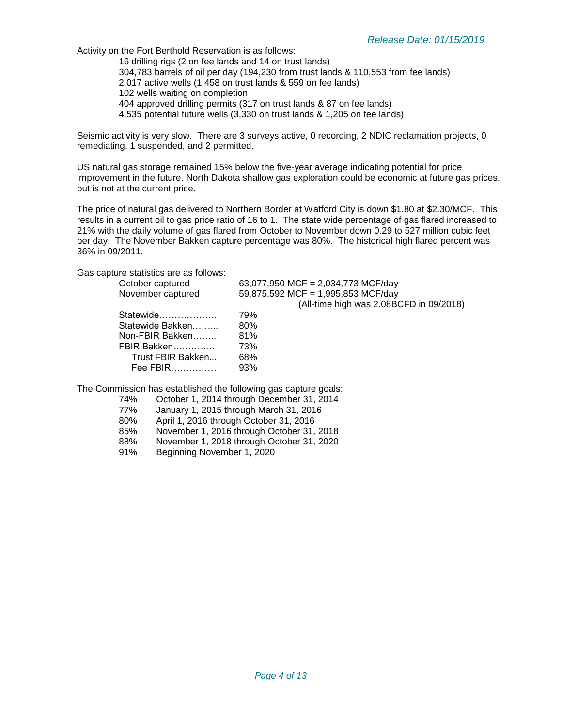Activity on the Fort Berthold Reservation is as follows: 16 drilling rigs (2 on fee lands and 14 on trust lands) 304,783 barrels of oil per day (194,230 from trust lands & 110,553 from fee lands) 2,017 active wells (1,458 on trust lands & 559 on fee lands) 102 wells waiting on completion 404 approved drilling permits (317 on trust lands & 87 on fee lands)

4,535 potential future wells (3,330 on trust lands & 1,205 on fee lands)

Seismic activity is very slow. There are 3 surveys active, 0 recording, 2 NDIC reclamation projects, 0 remediating, 1 suspended, and 2 permitted.

US natural gas storage remained 15% below the five-year average indicating potential for price improvement in the future. North Dakota shallow gas exploration could be economic at future gas prices, but is not at the current price.

The price of natural gas delivered to Northern Border at Watford City is down \$1.80 at \$2.30/MCF. This results in a current oil to gas price ratio of 16 to 1. The state wide percentage of gas flared increased to 21% with the daily volume of gas flared from October to November down 0.29 to 527 million cubic feet per day. The November Bakken capture percentage was 80%. The historical high flared percent was 36% in 09/2011.

Gas capture statistics are as follows:

| October captured  | 63,077,950 MCF = 2,034,773 MCF/day      |
|-------------------|-----------------------------------------|
| November captured | 59,875,592 MCF = 1,995,853 MCF/day      |
|                   | (All-time high was 2.08BCFD in 09/2018) |
| Statewide         | 79%                                     |
| Statewide Bakken  | 80%                                     |
| Non-FBIR Bakken   | 81%                                     |
| FBIR Bakken       | 73%                                     |
| Trust FBIR Bakken | 68%                                     |
| Fee FBIR          | 93%                                     |
|                   |                                         |

The Commission has established the following gas capture goals:

| 74% | October 1, 2014 through December 31, 2014 |
|-----|-------------------------------------------|
| 77% | January 1, 2015 through March 31, 2016    |
| 80% | April 1, 2016 through October 31, 2016    |
| 85% | November 1, 2016 through October 31, 2018 |
| 88% | November 1, 2018 through October 31, 2020 |
| 91% | Beginning November 1, 2020                |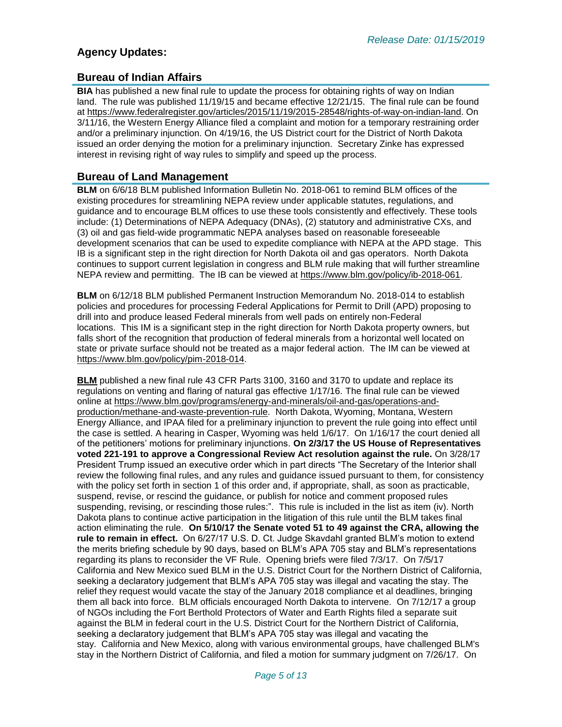## **Agency Updates:**

#### **Bureau of Indian Affairs**

**BIA** has published a new final rule to update the process for obtaining rights of way on Indian land. The rule was published 11/19/15 and became effective 12/21/15. The final rule can be found at [https://www.federalregister.gov/articles/2015/11/19/2015-28548/rights-of-way-on-indian-land.](https://www.federalregister.gov/articles/2015/11/19/2015-28548/rights-of-way-on-indian-land) On 3/11/16, the Western Energy Alliance filed a complaint and motion for a temporary restraining order and/or a preliminary injunction. On 4/19/16, the US District court for the District of North Dakota issued an order denying the motion for a preliminary injunction. Secretary Zinke has expressed interest in revising right of way rules to simplify and speed up the process.

#### **Bureau of Land Management**

**BLM** on 6/6/18 BLM published Information Bulletin No. 2018-061 to remind BLM offices of the existing procedures for streamlining NEPA review under applicable statutes, regulations, and guidance and to encourage BLM offices to use these tools consistently and effectively. These tools include: (1) Determinations of NEPA Adequacy (DNAs), (2) statutory and administrative CXs, and (3) oil and gas field-wide programmatic NEPA analyses based on reasonable foreseeable development scenarios that can be used to expedite compliance with NEPA at the APD stage. This IB is a significant step in the right direction for North Dakota oil and gas operators. North Dakota continues to support current legislation in congress and BLM rule making that will further streamline NEPA review and permitting. The IB can be viewed at [https://www.blm.gov/policy/ib-2018-061.](https://www.blm.gov/policy/ib-2018-061)

**BLM** on 6/12/18 BLM published Permanent Instruction Memorandum No. 2018-014 to establish policies and procedures for processing Federal Applications for Permit to Drill (APD) proposing to drill into and produce leased Federal minerals from well pads on entirely non-Federal locations. This IM is a significant step in the right direction for North Dakota property owners, but falls short of the recognition that production of federal minerals from a horizontal well located on state or private surface should not be treated as a major federal action. The IM can be viewed at [https://www.blm.gov/policy/pim-2018-014.](https://www.blm.gov/policy/pim-2018-014)

**BLM** published a new final rule 43 CFR Parts 3100, 3160 and 3170 to update and replace its regulations on venting and flaring of natural gas effective 1/17/16. The final rule can be viewed online at [https://www.blm.gov/programs/energy-and-minerals/oil-and-gas/operations-and](https://www.blm.gov/programs/energy-and-minerals/oil-and-gas/operations-and-production/methane-and-waste-prevention-rule)[production/methane-and-waste-prevention-rule.](https://www.blm.gov/programs/energy-and-minerals/oil-and-gas/operations-and-production/methane-and-waste-prevention-rule) North Dakota, Wyoming, Montana, Western Energy Alliance, and IPAA filed for a preliminary injunction to prevent the rule going into effect until the case is settled. A hearing in Casper, Wyoming was held 1/6/17. On 1/16/17 the court denied all of the petitioners' motions for preliminary injunctions. **On 2/3/17 the US House of Representatives voted 221-191 to approve a Congressional Review Act resolution against the rule.** On 3/28/17 President Trump issued an executive order which in part directs "The Secretary of the Interior shall review the following final rules, and any rules and guidance issued pursuant to them, for consistency with the policy set forth in section 1 of this order and, if appropriate, shall, as soon as practicable, suspend, revise, or rescind the guidance, or publish for notice and comment proposed rules suspending, revising, or rescinding those rules:". This rule is included in the list as item (iv). North Dakota plans to continue active participation in the litigation of this rule until the BLM takes final action eliminating the rule. **On 5/10/17 the Senate voted 51 to 49 against the CRA, allowing the rule to remain in effect.** On 6/27/17 U.S. D. Ct. Judge Skavdahl granted BLM's motion to extend the merits briefing schedule by 90 days, based on BLM's APA 705 stay and BLM's representations regarding its plans to reconsider the VF Rule. Opening briefs were filed 7/3/17. On 7/5/17 California and New Mexico sued BLM in the U.S. District Court for the Northern District of California, seeking a declaratory judgement that BLM's APA 705 stay was illegal and vacating the stay. The relief they request would vacate the stay of the January 2018 compliance et al deadlines, bringing them all back into force. BLM officials encouraged North Dakota to intervene. On 7/12/17 a group of NGOs including the Fort Berthold Protectors of Water and Earth Rights filed a separate suit against the BLM in federal court in the U.S. District Court for the Northern District of California, seeking a declaratory judgement that BLM's APA 705 stay was illegal and vacating the stay. California and New Mexico, along with various environmental groups, have challenged BLM's stay in the Northern District of California, and filed a motion for summary judgment on 7/26/17. On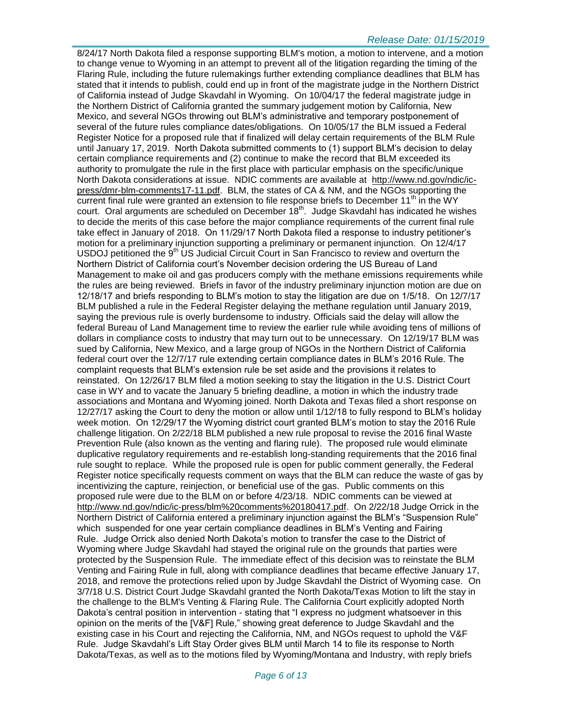#### *Release Date: 01/15/2019*

8/24/17 North Dakota filed a response supporting BLM's motion, a motion to intervene, and a motion to change venue to Wyoming in an attempt to prevent all of the litigation regarding the timing of the Flaring Rule, including the future rulemakings further extending compliance deadlines that BLM has stated that it intends to publish, could end up in front of the magistrate judge in the Northern District of California instead of Judge Skavdahl in Wyoming. On 10/04/17 the federal magistrate judge in the Northern District of California granted the summary judgement motion by California, New Mexico, and several NGOs throwing out BLM's administrative and temporary postponement of several of the future rules compliance dates/obligations. On 10/05/17 the BLM issued a Federal Register Notice for a proposed rule that if finalized will delay certain requirements of the BLM Rule until January 17, 2019. North Dakota submitted comments to (1) support BLM's decision to delay certain compliance requirements and (2) continue to make the record that BLM exceeded its authority to promulgate the rule in the first place with particular emphasis on the specific/unique North Dakota considerations at issue. NDIC comments are available at [http://www.nd.gov/ndic/ic](http://www.nd.gov/ndic/ic-press/dmr-blm-comments17-11.pdf)[press/dmr-blm-comments17-11.pdf.](http://www.nd.gov/ndic/ic-press/dmr-blm-comments17-11.pdf) BLM, the states of CA & NM, and the NGOs supporting the current final rule were granted an extension to file response briefs to December  $11<sup>th</sup>$  in the WY court. Oral arguments are scheduled on December  $18^{th}$ . Judge Skavdahl has indicated he wishes to decide the merits of this case before the major compliance requirements of the current final rule take effect in January of 2018. On 11/29/17 North Dakota filed a response to industry petitioner's motion for a preliminary injunction supporting a preliminary or permanent injunction. On 12/4/17 USDOJ petitioned the 9<sup>th</sup> US Judicial Circuit Court in San Francisco to review and overturn the Northern District of California court's November decision ordering the US Bureau of Land Management to make oil and gas producers comply with the methane emissions requirements while the rules are being reviewed. Briefs in favor of the industry preliminary injunction motion are due on 12/18/17 and briefs responding to BLM's motion to stay the litigation are due on 1/5/18. On 12/7/17 BLM published a rule in the Federal Register delaying the methane regulation until January 2019, saying the previous rule is overly burdensome to industry. Officials said the delay will allow the federal Bureau of Land Management time to review the earlier rule while avoiding tens of millions of dollars in compliance costs to industry that may turn out to be unnecessary. On 12/19/17 BLM was sued by California, New Mexico, and a large group of NGOs in the Northern District of California federal court over the 12/7/17 rule extending certain compliance dates in BLM's 2016 Rule. The complaint requests that BLM's extension rule be set aside and the provisions it relates to reinstated. On 12/26/17 BLM filed a motion seeking to stay the litigation in the U.S. District Court case in WY and to vacate the January 5 briefing deadline, a motion in which the industry trade associations and Montana and Wyoming joined. North Dakota and Texas filed a short response on 12/27/17 asking the Court to deny the motion or allow until 1/12/18 to fully respond to BLM's holiday week motion. On 12/29/17 the Wyoming district court granted BLM's motion to stay the 2016 Rule challenge litigation. On 2/22/18 BLM published a new rule proposal to revise the 2016 final Waste Prevention Rule (also known as the venting and flaring rule). The proposed rule would eliminate duplicative regulatory requirements and re-establish long-standing requirements that the 2016 final rule sought to replace. While the proposed rule is open for public comment generally, the Federal Register notice specifically requests comment on ways that the BLM can reduce the waste of gas by incentivizing the capture, reinjection, or beneficial use of the gas. Public comments on this proposed rule were due to the BLM on or before 4/23/18. NDIC comments can be viewed at [http://www.nd.gov/ndic/ic-press/blm%20comments%20180417.pdf.](http://www.nd.gov/ndic/ic-press/blm%20comments%20180417.pdf) On 2/22/18 Judge Orrick in the Northern District of California entered a preliminary injunction against the BLM's "Suspension Rule" which suspended for one year certain compliance deadlines in BLM's Venting and Fairing Rule. Judge Orrick also denied North Dakota's motion to transfer the case to the District of Wyoming where Judge Skavdahl had stayed the original rule on the grounds that parties were protected by the Suspension Rule. The immediate effect of this decision was to reinstate the BLM Venting and Fairing Rule in full, along with compliance deadlines that became effective January 17, 2018, and remove the protections relied upon by Judge Skavdahl the District of Wyoming case. On 3/7/18 U.S. District Court Judge Skavdahl granted the North Dakota/Texas Motion to lift the stay in the challenge to the BLM's Venting & Flaring Rule. The California Court explicitly adopted North Dakota's central position in intervention - stating that "I express no judgment whatsoever in this opinion on the merits of the [V&F] Rule," showing great deference to Judge Skavdahl and the existing case in his Court and rejecting the California, NM, and NGOs request to uphold the V&F Rule. Judge Skavdahl's Lift Stay Order gives BLM until March 14 to file its response to North Dakota/Texas, as well as to the motions filed by Wyoming/Montana and Industry, with reply briefs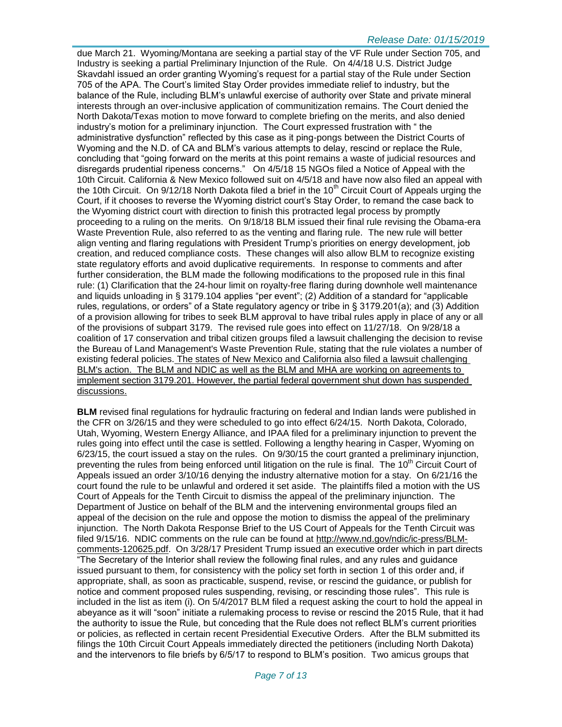#### *Release Date: 01/15/2019*

due March 21. Wyoming/Montana are seeking a partial stay of the VF Rule under Section 705, and Industry is seeking a partial Preliminary Injunction of the Rule. On 4/4/18 U.S. District Judge Skavdahl issued an order granting Wyoming's request for a partial stay of the Rule under Section 705 of the APA. The Court's limited Stay Order provides immediate relief to industry, but the balance of the Rule, including BLM's unlawful exercise of authority over State and private mineral interests through an over-inclusive application of communitization remains. The Court denied the North Dakota/Texas motion to move forward to complete briefing on the merits, and also denied industry's motion for a preliminary injunction. The Court expressed frustration with " the administrative dysfunction" reflected by this case as it ping-pongs between the District Courts of Wyoming and the N.D. of CA and BLM's various attempts to delay, rescind or replace the Rule, concluding that "going forward on the merits at this point remains a waste of judicial resources and disregards prudential ripeness concerns." On 4/5/18 15 NGOs filed a Notice of Appeal with the 10th Circuit. California & New Mexico followed suit on 4/5/18 and have now also filed an appeal with the 10th Circuit. On  $9/12/18$  North Dakota filed a brief in the 10<sup>th</sup> Circuit Court of Appeals urging the Court, if it chooses to reverse the Wyoming district court's Stay Order, to remand the case back to the Wyoming district court with direction to finish this protracted legal process by promptly proceeding to a ruling on the merits. On 9/18/18 BLM issued their final rule revising the Obama-era Waste Prevention Rule, also referred to as the venting and flaring rule. The new rule will better align venting and flaring regulations with President Trump's priorities on energy development, job creation, and reduced compliance costs. These changes will also allow BLM to recognize existing state regulatory efforts and avoid duplicative requirements. In response to comments and after further consideration, the BLM made the following modifications to the proposed rule in this final rule: (1) Clarification that the 24-hour limit on royalty-free flaring during downhole well maintenance and liquids unloading in § 3179.104 applies "per event"; (2) Addition of a standard for "applicable rules, regulations, or orders" of a State regulatory agency or tribe in § 3179.201(a); and (3) Addition of a provision allowing for tribes to seek BLM approval to have tribal rules apply in place of any or all of the provisions of subpart 3179. The revised rule goes into effect on 11/27/18. On 9/28/18 a coalition of 17 conservation and tribal citizen groups filed a lawsuit challenging the decision to revise the Bureau of Land Management's Waste Prevention Rule, stating that the rule violates a number of existing federal policies. The states of New Mexico and California also filed a lawsuit challenging BLM's action. The BLM and NDIC as well as the BLM and MHA are working on agreements to implement section 3179.201. However, the partial federal government shut down has suspended discussions.

**BLM** revised final regulations for hydraulic fracturing on federal and Indian lands were published in the CFR on 3/26/15 and they were scheduled to go into effect 6/24/15. North Dakota, Colorado, Utah, Wyoming, Western Energy Alliance, and IPAA filed for a preliminary injunction to prevent the rules going into effect until the case is settled. Following a lengthy hearing in Casper, Wyoming on 6/23/15, the court issued a stay on the rules. On 9/30/15 the court granted a preliminary injunction, preventing the rules from being enforced until litigation on the rule is final. The 10<sup>th</sup> Circuit Court of Appeals issued an order 3/10/16 denying the industry alternative motion for a stay. On 6/21/16 the court found the rule to be unlawful and ordered it set aside. The plaintiffs filed a motion with the US Court of Appeals for the Tenth Circuit to dismiss the appeal of the preliminary injunction. The Department of Justice on behalf of the BLM and the intervening environmental groups filed an appeal of the decision on the rule and oppose the motion to dismiss the appeal of the preliminary injunction. The North Dakota Response Brief to the US Court of Appeals for the Tenth Circuit was filed 9/15/16. NDIC comments on the rule can be found at [http://www.nd.gov/ndic/ic-press/BLM](http://www.nd.gov/ndic/ic-press/BLM-comments-120625.pdf)[comments-120625.pdf.](http://www.nd.gov/ndic/ic-press/BLM-comments-120625.pdf) On 3/28/17 President Trump issued an executive order which in part directs "The Secretary of the Interior shall review the following final rules, and any rules and guidance issued pursuant to them, for consistency with the policy set forth in section 1 of this order and, if appropriate, shall, as soon as practicable, suspend, revise, or rescind the guidance, or publish for notice and comment proposed rules suspending, revising, or rescinding those rules". This rule is included in the list as item (i). On 5/4/2017 BLM filed a request asking the court to hold the appeal in abeyance as it will "soon" initiate a rulemaking process to revise or rescind the 2015 Rule, that it had the authority to issue the Rule, but conceding that the Rule does not reflect BLM's current priorities or policies, as reflected in certain recent Presidential Executive Orders. After the BLM submitted its filings the 10th Circuit Court Appeals immediately directed the petitioners (including North Dakota) and the intervenors to file briefs by 6/5/17 to respond to BLM's position. Two amicus groups that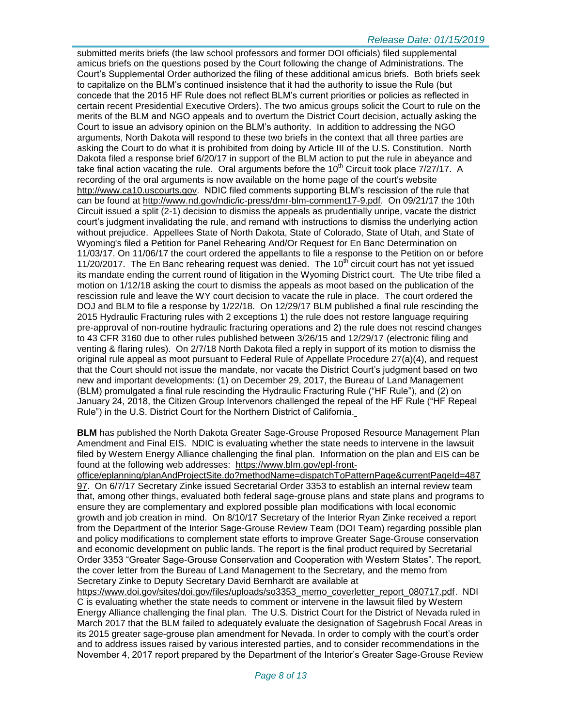#### *Release Date: 01/15/2019*

submitted merits briefs (the law school professors and former DOI officials) filed supplemental amicus briefs on the questions posed by the Court following the change of Administrations. The Court's Supplemental Order authorized the filing of these additional amicus briefs. Both briefs seek to capitalize on the BLM's continued insistence that it had the authority to issue the Rule (but concede that the 2015 HF Rule does not reflect BLM's current priorities or policies as reflected in certain recent Presidential Executive Orders). The two amicus groups solicit the Court to rule on the merits of the BLM and NGO appeals and to overturn the District Court decision, actually asking the Court to issue an advisory opinion on the BLM's authority. In addition to addressing the NGO arguments, North Dakota will respond to these two briefs in the context that all three parties are asking the Court to do what it is prohibited from doing by Article III of the U.S. Constitution. North Dakota filed a response brief 6/20/17 in support of the BLM action to put the rule in abeyance and take final action vacating the rule. Oral arguments before the 10<sup>th</sup> Circuit took place  $7/27/17$ . A recording of the oral arguments is now available on the home page of the court's website [http://www.ca10.uscourts.gov.](https://urldefense.proofpoint.com/v2/url?u=http-3A__www.ca10.uscourts.gov&d=DwMGaQ&c=2s2mvbfY0UoSKkl6_Ol9wg&r=-wqsZnBxny594KY8HeElow&m=Ul_VtJUX6iW5pvHjCcBxUWtskC0F4Dhry3sPtcEHvCw&s=laRHiLDv5w8otcQWQjpn82WMieoB2AZ-Q4M1LFQPL5s&e=) NDIC filed comments supporting BLM's rescission of the rule that can be found at [http://www.nd.gov/ndic/ic-press/dmr-blm-comment17-9.pdf.](http://www.nd.gov/ndic/ic-press/dmr-blm-comment17-9.pdf) On 09/21/17 the 10th Circuit issued a split (2-1) decision to dismiss the appeals as prudentially unripe, vacate the district court's judgment invalidating the rule, and remand with instructions to dismiss the underlying action without prejudice. Appellees State of North Dakota, State of Colorado, State of Utah, and State of Wyoming's filed a Petition for Panel Rehearing And/Or Request for En Banc Determination on 11/03/17. On 11/06/17 the court ordered the appellants to file a response to the Petition on or before 11/20/2017. The En Banc rehearing request was denied. The  $10<sup>th</sup>$  circuit court has not vet issued its mandate ending the current round of litigation in the Wyoming District court. The Ute tribe filed a motion on 1/12/18 asking the court to dismiss the appeals as moot based on the publication of the rescission rule and leave the WY court decision to vacate the rule in place. The court ordered the DOJ and BLM to file a response by 1/22/18. On 12/29/17 BLM published a final rule rescinding the 2015 Hydraulic Fracturing rules with 2 exceptions 1) the rule does not restore language requiring pre-approval of non-routine hydraulic fracturing operations and 2) the rule does not rescind changes to 43 CFR 3160 due to other rules published between 3/26/15 and 12/29/17 (electronic filing and venting & flaring rules). On 2/7/18 North Dakota filed a reply in support of its motion to dismiss the original rule appeal as moot pursuant to Federal Rule of Appellate Procedure 27(a)(4), and request that the Court should not issue the mandate, nor vacate the District Court's judgment based on two new and important developments: (1) on December 29, 2017, the Bureau of Land Management (BLM) promulgated a final rule rescinding the Hydraulic Fracturing Rule ("HF Rule"), and (2) on January 24, 2018, the Citizen Group Intervenors challenged the repeal of the HF Rule ("HF Repeal Rule") in the U.S. District Court for the Northern District of California.

**BLM** has published the North Dakota Greater Sage-Grouse Proposed Resource Management Plan Amendment and Final EIS. NDIC is evaluating whether the state needs to intervene in the lawsuit filed by Western Energy Alliance challenging the final plan. Information on the plan and EIS can be found at the following web addresses: [https://www.blm.gov/epl-front-](https://www.blm.gov/epl-front-office/eplanning/planAndProjectSite.do?methodName=dispatchToPatternPage¤tPageId=48797)

[office/eplanning/planAndProjectSite.do?methodName=dispatchToPatternPage&currentPageId=487](https://www.blm.gov/epl-front-office/eplanning/planAndProjectSite.do?methodName=dispatchToPatternPage¤tPageId=48797) [97.](https://www.blm.gov/epl-front-office/eplanning/planAndProjectSite.do?methodName=dispatchToPatternPage¤tPageId=48797) On 6/7/17 Secretary Zinke issued Secretarial Order 3353 to establish an internal review team that, among other things, evaluated both federal sage-grouse plans and state plans and programs to ensure they are complementary and explored possible plan modifications with local economic growth and job creation in mind. On 8/10/17 Secretary of the Interior Ryan Zinke received a report from the Department of the Interior Sage-Grouse Review Team (DOI Team) regarding possible plan and policy modifications to complement state efforts to improve Greater Sage-Grouse conservation and economic development on public lands. The report is the final product required by Secretarial Order 3353 "Greater Sage-Grouse Conservation and Cooperation with Western States". The report, the cover letter from the Bureau of Land Management to the Secretary, and the memo from Secretary Zinke to Deputy Secretary David Bernhardt are available at

[https://www.doi.gov/sites/doi.gov/files/uploads/so3353\\_memo\\_coverletter\\_report\\_080717.pdf.](https://www.doi.gov/sites/doi.gov/files/uploads/so3353_memo_coverletter_report_080717.pdf) NDI C is evaluating whether the state needs to comment or intervene in the lawsuit filed by Western Energy Alliance challenging the final plan. The U.S. District Court for the District of Nevada ruled in March 2017 that the BLM failed to adequately evaluate the designation of Sagebrush Focal Areas in its 2015 greater sage-grouse plan amendment for Nevada. In order to comply with the court's order and to address issues raised by various interested parties, and to consider recommendations in the November 4, 2017 report prepared by the Department of the Interior's Greater Sage-Grouse Review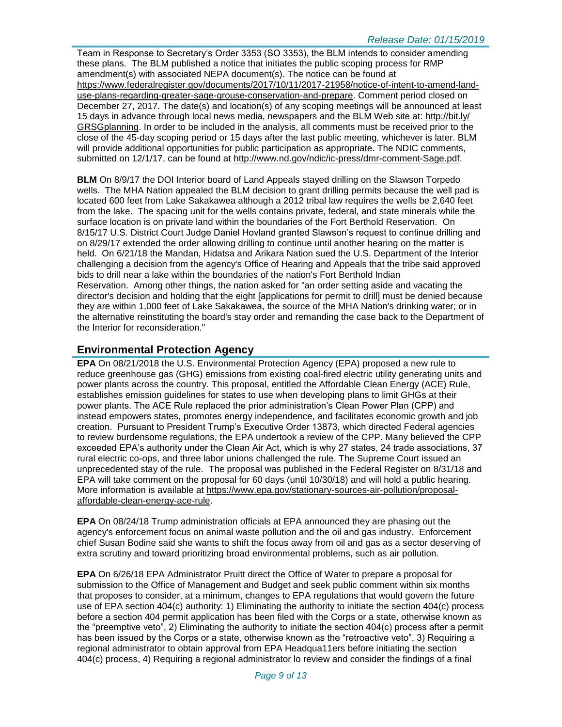Team in Response to Secretary's Order 3353 (SO 3353), the BLM intends to consider amending these plans. The BLM published a notice that initiates the public scoping process for RMP amendment(s) with associated NEPA document(s). The notice can be found at

[https://www.federalregister.gov/documents/2017/10/11/2017-21958/notice-of-intent-to-amend-land](https://www.federalregister.gov/documents/2017/10/11/2017-21958/notice-of-intent-to-amend-land-use-plans-regarding-greater-sage-grouse-conservation-and-prepare)[use-plans-regarding-greater-sage-grouse-conservation-and-prepare.](https://www.federalregister.gov/documents/2017/10/11/2017-21958/notice-of-intent-to-amend-land-use-plans-regarding-greater-sage-grouse-conservation-and-prepare) Comment period closed on December 27, 2017. The date(s) and location(s) of any scoping meetings will be announced at least 15 days in advance through local news media, newspapers and the BLM Web site at: [http://bit.ly/](http://bit.ly/​GRSGplanning) [GRSGplanning.](http://bit.ly/​GRSGplanning) In order to be included in the analysis, all comments must be received prior to the close of the 45-day scoping period or 15 days after the last public meeting, whichever is later. BLM will provide additional opportunities for public participation as appropriate. The NDIC comments, submitted on 12/1/17, can be found at [http://www.nd.gov/ndic/ic-press/dmr-comment-Sage.pdf.](http://www.nd.gov/ndic/ic-press/dmr-comment-Sage.pdf)

**BLM** On 8/9/17 the DOI Interior board of Land Appeals stayed drilling on the Slawson Torpedo wells. The MHA Nation appealed the BLM decision to grant drilling permits because the well pad is located 600 feet from Lake Sakakawea although a 2012 tribal law requires the wells be 2,640 feet from the lake. The spacing unit for the wells contains private, federal, and state minerals while the surface location is on private land within the boundaries of the Fort Berthold Reservation. On 8/15/17 U.S. District Court Judge Daniel Hovland granted Slawson's request to continue drilling and on 8/29/17 extended the order allowing drilling to continue until another hearing on the matter is held. On 6/21/18 the Mandan, Hidatsa and Arikara Nation sued the U.S. Department of the Interior challenging a decision from the agency's Office of Hearing and Appeals that the tribe said approved bids to drill near a lake within the boundaries of the nation's Fort Berthold Indian Reservation. Among other things, the nation asked for "an order setting aside and vacating the director's decision and holding that the eight [applications for permit to drill] must be denied because they are within 1,000 feet of Lake Sakakawea, the source of the MHA Nation's drinking water; or in the alternative reinstituting the board's stay order and remanding the case back to the Department of the Interior for reconsideration."

#### **Environmental Protection Agency**

**EPA** On 08/21/2018 the U.S. Environmental Protection Agency (EPA) proposed a new rule to reduce greenhouse gas (GHG) emissions from existing coal-fired electric utility generating units and power plants across the country. This proposal, entitled the Affordable Clean Energy (ACE) Rule, establishes emission guidelines for states to use when developing plans to limit GHGs at their power plants. The ACE Rule replaced the prior administration's Clean Power Plan (CPP) and instead empowers states, promotes energy independence, and facilitates economic growth and job creation. Pursuant to President Trump's Executive Order 13873, which directed Federal agencies to review burdensome regulations, the EPA undertook a review of the CPP. Many believed the CPP exceeded EPA's authority under the Clean Air Act, which is why 27 states, 24 trade associations, 37 rural electric co-ops, and three labor unions challenged the rule. The Supreme Court issued an unprecedented stay of the rule. The proposal was published in the Federal Register on 8/31/18 and EPA will take comment on the proposal for 60 days (until 10/30/18) and will hold a public hearing. More information is available at [https://www.epa.gov/stationary-sources-air-pollution/proposal](https://www.epa.gov/stationary-sources-air-pollution/proposal-affordable-clean-energy-ace-rule)[affordable-clean-energy-ace-rule.](https://www.epa.gov/stationary-sources-air-pollution/proposal-affordable-clean-energy-ace-rule)

**EPA** On 08/24/18 Trump administration officials at EPA announced they are phasing out the agency's enforcement focus on animal waste pollution and the oil and gas industry. Enforcement chief Susan Bodine said she wants to shift the focus away from oil and gas as a sector deserving of extra scrutiny and toward prioritizing broad environmental problems, such as air pollution.

**EPA** On 6/26/18 EPA Administrator Pruitt direct the Office of Water to prepare a proposal for submission to the Office of Management and Budget and seek public comment within six months that proposes to consider, at a minimum, changes to EPA regulations that would govern the future use of EPA section 404(c) authority: 1) Eliminating the authority to initiate the section 404(c) process before a section 404 permit application has been filed with the Corps or a state, otherwise known as the "preemptive veto", 2) Eliminating the authority to initiate the section 404(c) process after a permit has been issued by the Corps or a state, otherwise known as the "retroactive veto", 3) Requiring a regional administrator to obtain approval from EPA Headqua11ers before initiating the section 404(c) process, 4) Requiring a regional administrator lo review and consider the findings of a final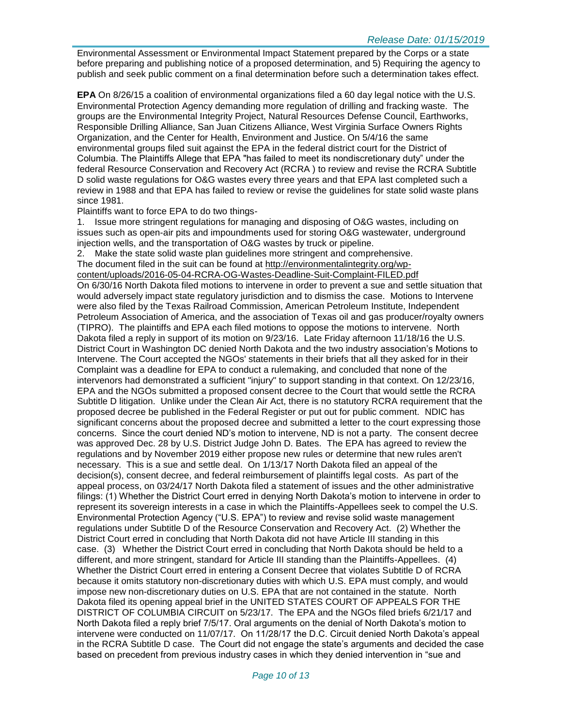Environmental Assessment or Environmental Impact Statement prepared by the Corps or a state before preparing and publishing notice of a proposed determination, and 5) Requiring the agency to publish and seek public comment on a final determination before such a determination takes effect.

**EPA** On 8/26/15 a coalition of environmental organizations filed a 60 day legal notice with the U.S. Environmental Protection Agency demanding more regulation of drilling and fracking waste. The groups are the Environmental Integrity Project, Natural Resources Defense Council, Earthworks, Responsible Drilling Alliance, San Juan Citizens Alliance, West Virginia Surface Owners Rights Organization, and the Center for Health, Environment and Justice. On 5/4/16 the same environmental groups filed suit against the EPA in the federal district court for the District of Columbia. The Plaintiffs Allege that EPA "has failed to meet its nondiscretionary duty" under the federal Resource Conservation and Recovery Act (RCRA ) to review and revise the RCRA Subtitle D solid waste regulations for O&G wastes every three years and that EPA last completed such a review in 1988 and that EPA has failed to review or revise the guidelines for state solid waste plans since 1981.

#### Plaintiffs want to force EPA to do two things-

1. Issue more stringent regulations for managing and disposing of O&G wastes, including on issues such as open-air pits and impoundments used for storing O&G wastewater, underground injection wells, and the transportation of O&G wastes by truck or pipeline.

2. Make the state solid waste plan guidelines more stringent and comprehensive. The document filed in the suit can be found at [http://environmentalintegrity.org/wp](http://environmentalintegrity.org/wp-content/uploads/2016-05-04-RCRA-OG-Wastes-Deadline-Suit-Complaint-FILED.pdf)[content/uploads/2016-05-04-RCRA-OG-Wastes-Deadline-Suit-Complaint-FILED.pdf](http://environmentalintegrity.org/wp-content/uploads/2016-05-04-RCRA-OG-Wastes-Deadline-Suit-Complaint-FILED.pdf) On 6/30/16 North Dakota filed motions to intervene in order to prevent a sue and settle situation that would adversely impact state regulatory jurisdiction and to dismiss the case. Motions to Intervene were also filed by the Texas Railroad Commission, American Petroleum Institute, Independent Petroleum Association of America, and the association of Texas oil and gas producer/royalty owners (TIPRO). The plaintiffs and EPA each filed motions to oppose the motions to intervene. North Dakota filed a reply in support of its motion on 9/23/16. Late Friday afternoon 11/18/16 the U.S. District Court in Washington DC denied North Dakota and the two industry association's Motions to Intervene. The Court accepted the NGOs' statements in their briefs that all they asked for in their Complaint was a deadline for EPA to conduct a rulemaking, and concluded that none of the intervenors had demonstrated a sufficient "injury" to support standing in that context. On 12/23/16, EPA and the NGOs submitted a proposed consent decree to the Court that would settle the RCRA Subtitle D litigation. Unlike under the Clean Air Act, there is no statutory RCRA requirement that the proposed decree be published in the Federal Register or put out for public comment. NDIC has significant concerns about the proposed decree and submitted a letter to the court expressing those concerns. Since the court denied ND's motion to intervene, ND is not a party. The consent decree was approved Dec. 28 by U.S. District Judge John D. Bates. The EPA has agreed to review the regulations and by November 2019 either propose new rules or determine that new rules aren't necessary. This is a sue and settle deal. On 1/13/17 North Dakota filed an appeal of the decision(s), consent decree, and federal reimbursement of plaintiffs legal costs. As part of the appeal process, on 03/24/17 North Dakota filed a statement of issues and the other administrative filings: (1) Whether the District Court erred in denying North Dakota's motion to intervene in order to represent its sovereign interests in a case in which the Plaintiffs-Appellees seek to compel the U.S. Environmental Protection Agency ("U.S. EPA") to review and revise solid waste management regulations under Subtitle D of the Resource Conservation and Recovery Act. (2) Whether the District Court erred in concluding that North Dakota did not have Article III standing in this case. (3) Whether the District Court erred in concluding that North Dakota should be held to a different, and more stringent, standard for Article III standing than the Plaintiffs-Appellees. (4) Whether the District Court erred in entering a Consent Decree that violates Subtitle D of RCRA because it omits statutory non-discretionary duties with which U.S. EPA must comply, and would impose new non-discretionary duties on U.S. EPA that are not contained in the statute. North Dakota filed its opening appeal brief in the UNITED STATES COURT OF APPEALS FOR THE DISTRICT OF COLUMBIA CIRCUIT on 5/23/17. The EPA and the NGOs filed briefs 6/21/17 and North Dakota filed a reply brief 7/5/17. Oral arguments on the denial of North Dakota's motion to intervene were conducted on 11/07/17. On 11/28/17 the D.C. Circuit denied North Dakota's appeal in the RCRA Subtitle D case. The Court did not engage the state's arguments and decided the case based on precedent from previous industry cases in which they denied intervention in "sue and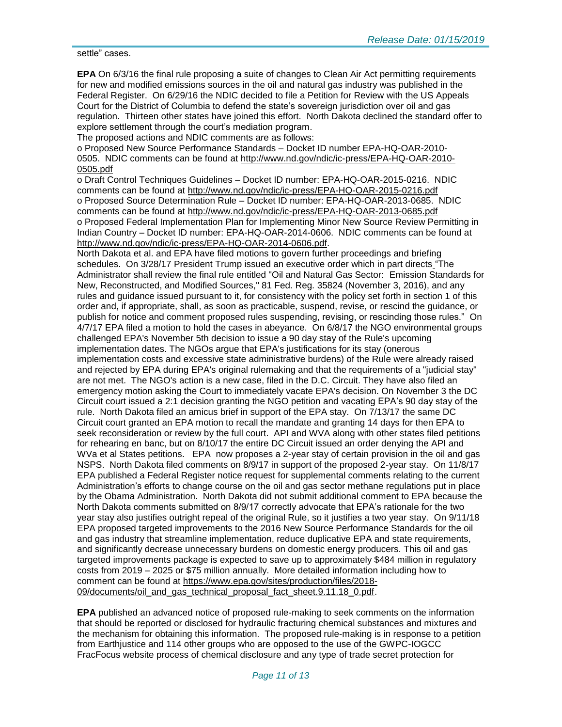settle" cases.

**EPA** On 6/3/16 the final rule proposing a suite of changes to Clean Air Act permitting requirements for new and modified emissions sources in the oil and natural gas industry was published in the Federal Register. On 6/29/16 the NDIC decided to file a Petition for Review with the US Appeals Court for the District of Columbia to defend the state's sovereign jurisdiction over oil and gas regulation. Thirteen other states have joined this effort. North Dakota declined the standard offer to explore settlement through the court's mediation program.

The proposed actions and NDIC comments are as follows:

o Proposed New Source Performance Standards – Docket ID number EPA-HQ-OAR-2010- 0505. NDIC comments can be found at [http://www.nd.gov/ndic/ic-press/EPA-HQ-OAR-2010-](http://www.nd.gov/ndic/ic-press/EPA-HQ-OAR-2010-0505.pdf) [0505.pdf](http://www.nd.gov/ndic/ic-press/EPA-HQ-OAR-2010-0505.pdf)

o Draft Control Techniques Guidelines – Docket ID number: EPA-HQ-OAR-2015-0216. NDIC comments can be found at<http://www.nd.gov/ndic/ic-press/EPA-HQ-OAR-2015-0216.pdf> o Proposed Source Determination Rule – Docket ID number: EPA-HQ-OAR-2013-0685. NDIC comments can be found at<http://www.nd.gov/ndic/ic-press/EPA-HQ-OAR-2013-0685.pdf> o Proposed Federal Implementation Plan for Implementing Minor New Source Review Permitting in Indian Country – Docket ID number: EPA-HQ-OAR-2014-0606. NDIC comments can be found at [http://www.nd.gov/ndic/ic-press/EPA-HQ-OAR-2014-0606.pdf.](http://www.nd.gov/ndic/ic-press/EPA-HQ-OAR-2014-0606.pdf)

North Dakota et al. and EPA have filed motions to govern further proceedings and briefing schedules. On 3/28/17 President Trump issued an executive order which in part directs "The Administrator shall review the final rule entitled "Oil and Natural Gas Sector: Emission Standards for New, Reconstructed, and Modified Sources," 81 Fed. Reg. 35824 (November 3, 2016), and any rules and guidance issued pursuant to it, for consistency with the policy set forth in section 1 of this order and, if appropriate, shall, as soon as practicable, suspend, revise, or rescind the guidance, or publish for notice and comment proposed rules suspending, revising, or rescinding those rules." On 4/7/17 EPA filed a motion to hold the cases in abeyance. On 6/8/17 the NGO environmental groups challenged EPA's November 5th decision to issue a 90 day stay of the Rule's upcoming implementation dates. The NGOs argue that EPA's justifications for its stay (onerous implementation costs and excessive state administrative burdens) of the Rule were already raised and rejected by EPA during EPA's original rulemaking and that the requirements of a "judicial stay" are not met. The NGO's action is a new case, filed in the D.C. Circuit. They have also filed an emergency motion asking the Court to immediately vacate EPA's decision. On November 3 the DC Circuit court issued a 2:1 decision granting the NGO petition and vacating EPA's 90 day stay of the rule. North Dakota filed an amicus brief in support of the EPA stay. On 7/13/17 the same DC Circuit court granted an EPA motion to recall the mandate and granting 14 days for then EPA to seek reconsideration or review by the full court. API and WVA along with other states filed petitions for rehearing en banc, but on 8/10/17 the entire DC Circuit issued an order denying the API and WVa et al States petitions. EPA now proposes a 2-year stay of certain provision in the oil and gas NSPS. North Dakota filed comments on 8/9/17 in support of the proposed 2-year stay. On 11/8/17 EPA published a Federal Register notice request for supplemental comments relating to the current Administration's efforts to change course on the oil and gas sector methane regulations put in place by the Obama Administration. North Dakota did not submit additional comment to EPA because the North Dakota comments submitted on 8/9/17 correctly advocate that EPA's rationale for the two year stay also justifies outright repeal of the original Rule, so it justifies a two year stay. On 9/11/18 EPA proposed targeted improvements to the 2016 New Source Performance Standards for the oil and gas industry that streamline implementation, reduce duplicative EPA and state requirements, and significantly decrease unnecessary burdens on domestic energy producers. This oil and gas targeted improvements package is expected to save up to approximately \$484 million in regulatory costs from 2019 – 2025 or \$75 million annually. More detailed information including how to comment can be found at [https://www.epa.gov/sites/production/files/2018-](https://www.epa.gov/sites/production/files/2018-09/documents/oil_and_gas_technical_proposal_fact_sheet.9.11.18_0.pdf) [09/documents/oil\\_and\\_gas\\_technical\\_proposal\\_fact\\_sheet.9.11.18\\_0.pdf.](https://www.epa.gov/sites/production/files/2018-09/documents/oil_and_gas_technical_proposal_fact_sheet.9.11.18_0.pdf)

**EPA** published an advanced notice of proposed rule-making to seek comments on the information that should be reported or disclosed for hydraulic fracturing chemical substances and mixtures and the mechanism for obtaining this information. The proposed rule-making is in response to a petition from Earthjustice and 114 other groups who are opposed to the use of the GWPC-IOGCC FracFocus website process of chemical disclosure and any type of trade secret protection for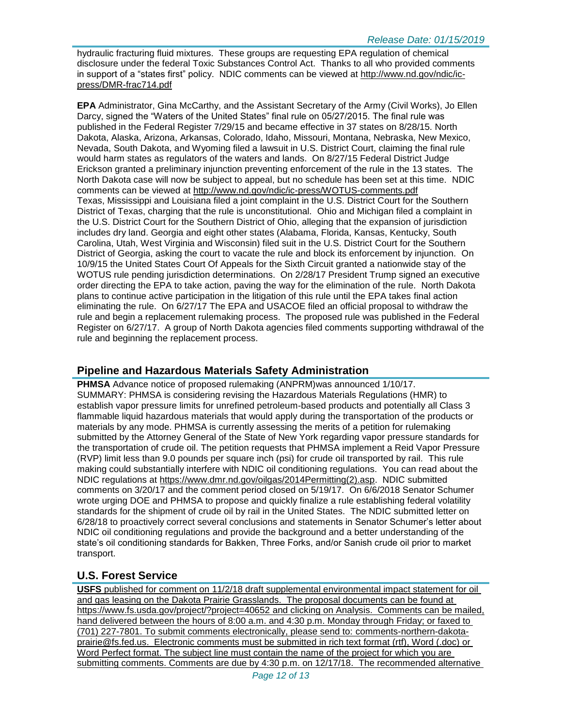hydraulic fracturing fluid mixtures. These groups are requesting EPA regulation of chemical disclosure under the federal Toxic Substances Control Act. Thanks to all who provided comments in support of a "states first" policy. NDIC comments can be viewed at [http://www.nd.gov/ndic/ic](http://www.nd.gov/ndic/ic-press/DMR-frac714.pdf)[press/DMR-frac714.pdf](http://www.nd.gov/ndic/ic-press/DMR-frac714.pdf)

**EPA** Administrator, Gina McCarthy, and the Assistant Secretary of the Army (Civil Works), Jo Ellen Darcy, signed the "Waters of the United States" final rule on 05/27/2015. The final rule was published in the Federal Register 7/29/15 and became effective in 37 states on 8/28/15. North Dakota, Alaska, Arizona, Arkansas, Colorado, Idaho, Missouri, Montana, Nebraska, New Mexico, Nevada, South Dakota, and Wyoming filed a lawsuit in U.S. District Court, claiming the final rule would harm states as regulators of the waters and lands. On 8/27/15 Federal District Judge Erickson granted a preliminary injunction preventing enforcement of the rule in the 13 states. The North Dakota case will now be subject to appeal, but no schedule has been set at this time. NDIC comments can be viewed at<http://www.nd.gov/ndic/ic-press/WOTUS-comments.pdf> Texas, Mississippi and Louisiana filed a joint complaint in the U.S. District Court for the Southern District of Texas, charging that the rule is unconstitutional. Ohio and Michigan filed a complaint in the U.S. District Court for the Southern District of Ohio, alleging that the expansion of jurisdiction includes dry land. Georgia and eight other states (Alabama, Florida, Kansas, Kentucky, South Carolina, Utah, West Virginia and Wisconsin) filed suit in the U.S. District Court for the Southern District of Georgia, asking the court to vacate the rule and block its enforcement by injunction. On 10/9/15 the United States Court Of Appeals for the Sixth Circuit granted a nationwide stay of the WOTUS rule pending jurisdiction determinations. On 2/28/17 President Trump signed an executive order directing the EPA to take action, paving the way for the elimination of the rule. North Dakota plans to continue active participation in the litigation of this rule until the EPA takes final action eliminating the rule. On 6/27/17 The EPA and USACOE filed an official proposal to withdraw the rule and begin a replacement rulemaking process. The proposed rule was published in the Federal Register on 6/27/17. A group of North Dakota agencies filed comments supporting withdrawal of the rule and beginning the replacement process.

#### **Pipeline and Hazardous Materials Safety Administration**

**PHMSA** Advance notice of proposed rulemaking (ANPRM)was announced 1/10/17. SUMMARY: PHMSA is considering revising the Hazardous Materials Regulations (HMR) to establish vapor pressure limits for unrefined petroleum-based products and potentially all Class 3 flammable liquid hazardous materials that would apply during the transportation of the products or materials by any mode. PHMSA is currently assessing the merits of a petition for rulemaking submitted by the Attorney General of the State of New York regarding vapor pressure standards for the transportation of crude oil. The petition requests that PHMSA implement a Reid Vapor Pressure (RVP) limit less than 9.0 pounds per square inch (psi) for crude oil transported by rail. This rule making could substantially interfere with NDIC oil conditioning regulations. You can read about the NDIC regulations at [https://www.dmr.nd.gov/oilgas/2014Permitting\(2\).asp.](https://www.dmr.nd.gov/oilgas/2014Permitting(2).asp) NDIC submitted comments on 3/20/17 and the comment period closed on 5/19/17. On 6/6/2018 Senator Schumer wrote urging DOE and PHMSA to propose and quickly finalize a rule establishing federal volatility standards for the shipment of crude oil by rail in the United States. The NDIC submitted letter on 6/28/18 to proactively correct several conclusions and statements in Senator Schumer's letter about NDIC oil conditioning regulations and provide the background and a better understanding of the state's oil conditioning standards for Bakken, Three Forks, and/or Sanish crude oil prior to market transport.

## **U.S. Forest Service**

**USFS** published for comment on 11/2/18 draft supplemental environmental impact statement for oil and gas leasing on the Dakota Prairie Grasslands. The proposal documents can be found at <https://www.fs.usda.gov/project/?project=40652> and clicking on Analysis. Comments can be mailed, hand delivered between the hours of 8:00 a.m. and 4:30 p.m. Monday through Friday; or faxed to (701) 227-7801. To submit comments electronically, please send to: [comments-northern-dakota](mailto:comments-northern-dakota-prairie@fs.fed.us)[prairie@fs.fed.us.](mailto:comments-northern-dakota-prairie@fs.fed.us) Electronic comments must be submitted in rich text format (rtf), Word (.doc) or Word Perfect format. The subject line must contain the name of the project for which you are submitting comments. Comments are due by 4:30 p.m. on 12/17/18. The recommended alternative